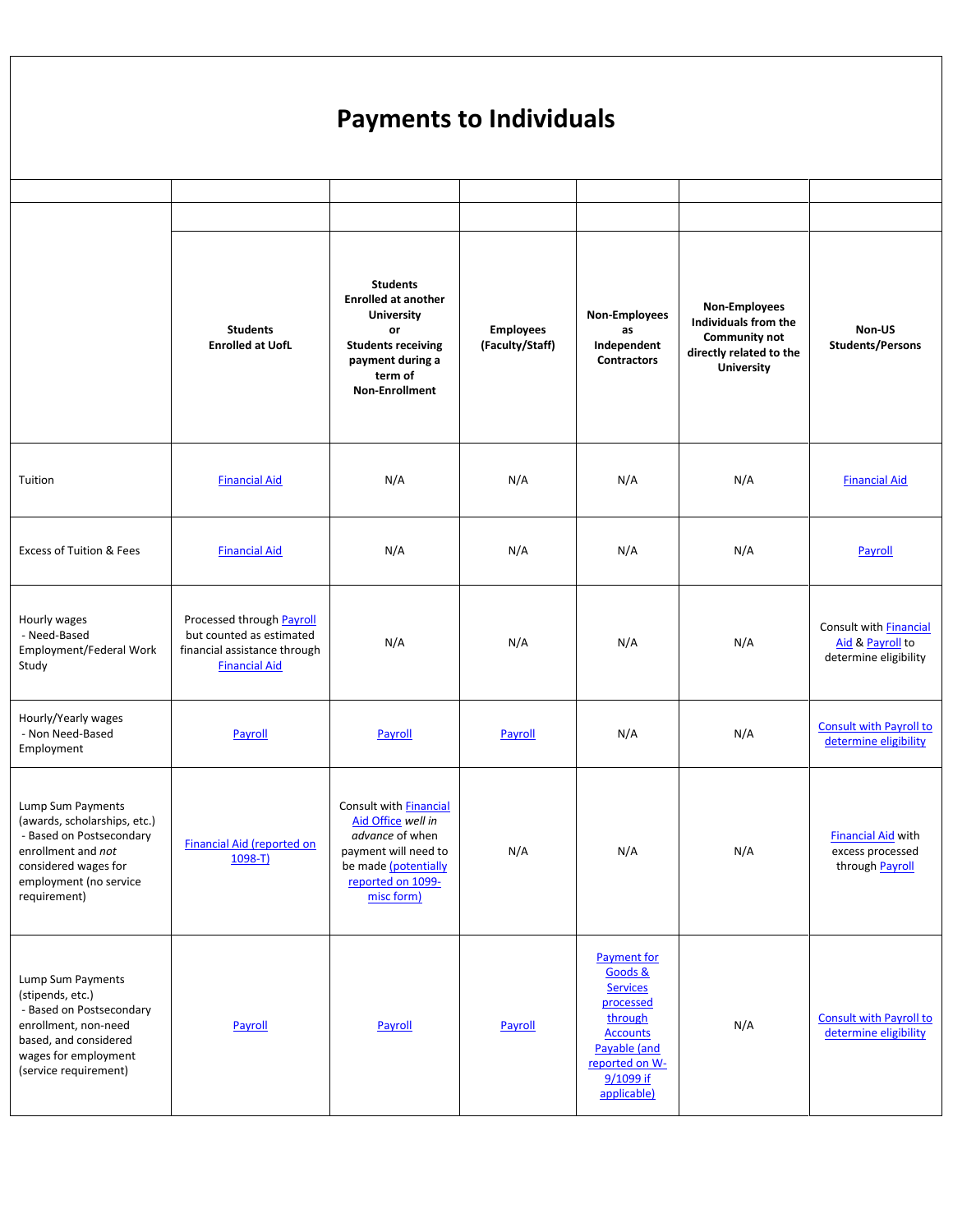## **Payments to Individuals**

|                                                                                                                                                                       | <b>Students</b><br><b>Enrolled at UofL</b>                                                                    | <b>Students</b><br><b>Enrolled at another</b><br><b>University</b><br>or<br><b>Students receiving</b><br>payment during a<br>term of<br><b>Non-Enrollment</b> | <b>Employees</b><br>(Faculty/Staff) | Non-Employees<br>as<br>Independent<br><b>Contractors</b>                                                                                                  | Non-Employees<br>Individuals from the<br><b>Community not</b><br>directly related to the<br><b>University</b> | Non-US<br><b>Students/Persons</b>                                          |
|-----------------------------------------------------------------------------------------------------------------------------------------------------------------------|---------------------------------------------------------------------------------------------------------------|---------------------------------------------------------------------------------------------------------------------------------------------------------------|-------------------------------------|-----------------------------------------------------------------------------------------------------------------------------------------------------------|---------------------------------------------------------------------------------------------------------------|----------------------------------------------------------------------------|
| Tuition                                                                                                                                                               | <b>Financial Aid</b>                                                                                          | N/A                                                                                                                                                           | N/A                                 | N/A                                                                                                                                                       | N/A                                                                                                           | <b>Financial Aid</b>                                                       |
| <b>Excess of Tuition &amp; Fees</b>                                                                                                                                   | <b>Financial Aid</b>                                                                                          | N/A                                                                                                                                                           | N/A                                 | N/A                                                                                                                                                       | N/A                                                                                                           | Payroll                                                                    |
| Hourly wages<br>- Need-Based<br>Employment/Federal Work<br>Study                                                                                                      | Processed through Payroll<br>but counted as estimated<br>financial assistance through<br><b>Financial Aid</b> | N/A                                                                                                                                                           | N/A                                 | N/A                                                                                                                                                       | N/A                                                                                                           | Consult with <b>Financial</b><br>Aid & Payroll to<br>determine eligibility |
| Hourly/Yearly wages<br>- Non Need-Based<br>Employment                                                                                                                 | Payroll                                                                                                       | Payroll                                                                                                                                                       | Payroll                             | N/A                                                                                                                                                       | N/A                                                                                                           | <b>Consult with Payroll to</b><br>determine eligibility                    |
| Lump Sum Payments<br>(awards, scholarships, etc.)<br>- Based on Postsecondary<br>enrollment and not<br>considered wages for<br>employment (no service<br>requirement) | Financial Aid (reported on<br>$1098-T$                                                                        | Consult with <b>Financial</b><br>Aid Office well in<br>advance of when<br>payment will need to<br>be made (potentially<br>reported on 1099-<br>misc form)     | N/A                                 | N/A                                                                                                                                                       | N/A                                                                                                           | <b>Financial Aid with</b><br>excess processed<br>through Payroll           |
| Lump Sum Payments<br>(stipends, etc.)<br>- Based on Postsecondary<br>enrollment, non-need<br>based, and considered<br>wages for employment<br>(service requirement)   | Payroll                                                                                                       | Payroll                                                                                                                                                       | Payroll                             | <b>Payment for</b><br>Goods &<br><b>Services</b><br>processed<br>through<br><b>Accounts</b><br>Payable (and<br>reported on W-<br>9/1099 if<br>applicable) | N/A                                                                                                           | <b>Consult with Payroll to</b><br>determine eligibility                    |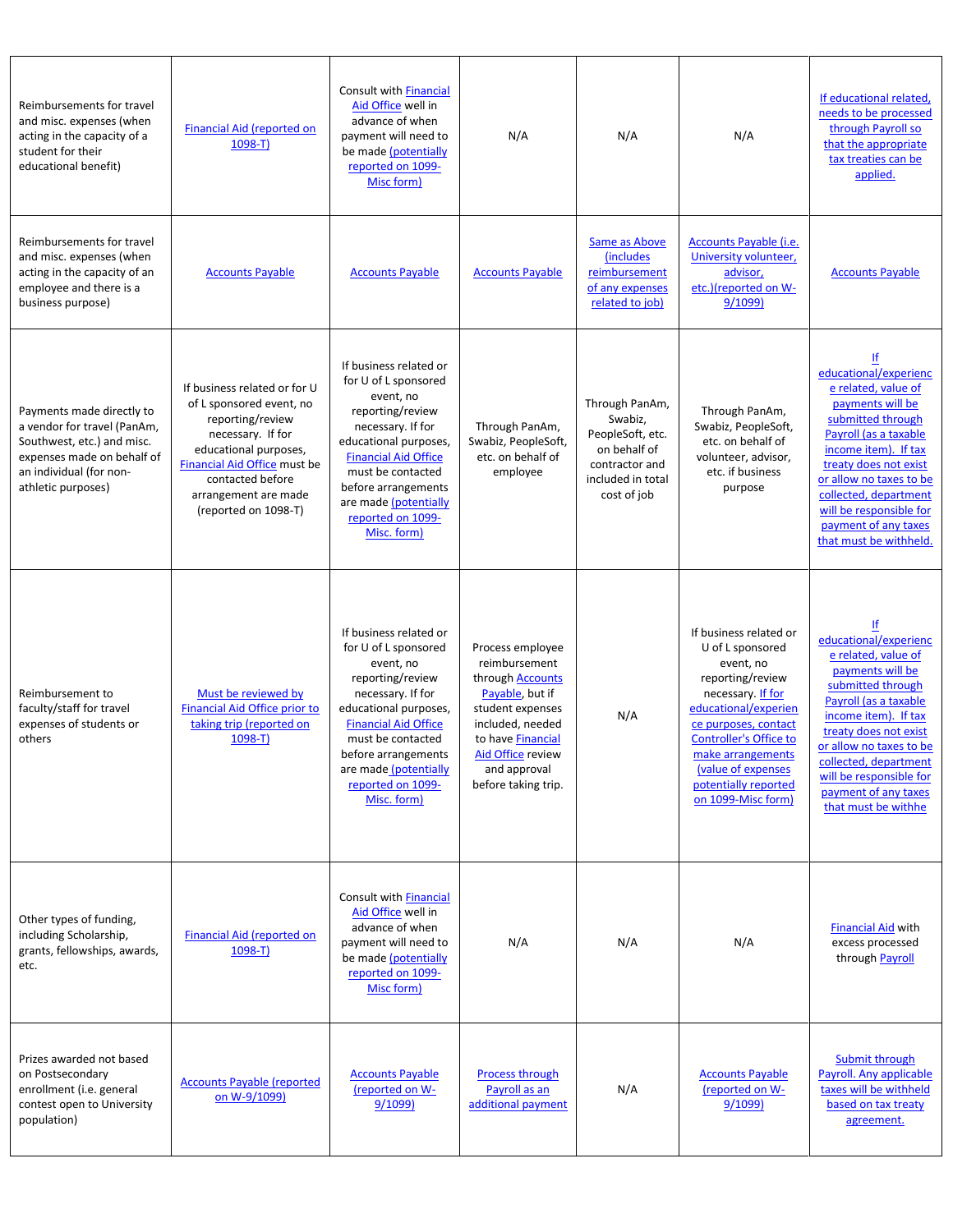| Reimbursements for travel<br>and misc. expenses (when<br>acting in the capacity of a<br>student for their<br>educational benefit)                                     | <b>Financial Aid (reported on</b><br>$1098-T$                                                                                                                                                                                  | <b>Consult with Financial</b><br>Aid Office well in<br>advance of when<br>payment will need to<br>be made (potentially<br>reported on 1099-<br>Misc form)                                                                                                             | N/A                                                                                                                                                                                                             | N/A                                                                                                                 | N/A                                                                                                                                                                                                                                                                        | If educational related,<br>needs to be processed<br>through Payroll so<br>that the appropriate<br>tax treaties can be<br>applied.                                                                                                                                                                     |
|-----------------------------------------------------------------------------------------------------------------------------------------------------------------------|--------------------------------------------------------------------------------------------------------------------------------------------------------------------------------------------------------------------------------|-----------------------------------------------------------------------------------------------------------------------------------------------------------------------------------------------------------------------------------------------------------------------|-----------------------------------------------------------------------------------------------------------------------------------------------------------------------------------------------------------------|---------------------------------------------------------------------------------------------------------------------|----------------------------------------------------------------------------------------------------------------------------------------------------------------------------------------------------------------------------------------------------------------------------|-------------------------------------------------------------------------------------------------------------------------------------------------------------------------------------------------------------------------------------------------------------------------------------------------------|
| Reimbursements for travel<br>and misc. expenses (when<br>acting in the capacity of an<br>employee and there is a<br>business purpose)                                 | <b>Accounts Payable</b>                                                                                                                                                                                                        | <b>Accounts Payable</b>                                                                                                                                                                                                                                               | <b>Accounts Payable</b>                                                                                                                                                                                         | Same as Above<br>(includes<br>reimbursement<br>of any expenses<br>related to job)                                   | Accounts Payable (i.e.<br>University volunteer,<br>advisor,<br>etc.)(reported on W-<br>9/1099)                                                                                                                                                                             | <b>Accounts Payable</b>                                                                                                                                                                                                                                                                               |
| Payments made directly to<br>a vendor for travel (PanAm,<br>Southwest, etc.) and misc.<br>expenses made on behalf of<br>an individual (for non-<br>athletic purposes) | If business related or for U<br>of L sponsored event, no<br>reporting/review<br>necessary. If for<br>educational purposes,<br>Financial Aid Office must be<br>contacted before<br>arrangement are made<br>(reported on 1098-T) | If business related or<br>for U of L sponsored<br>event, no<br>reporting/review<br>necessary. If for<br>educational purposes,<br><b>Financial Aid Office</b><br>must be contacted<br>before arrangements<br>are made (potentially<br>reported on 1099-<br>Misc. form) | Through PanAm,<br>Swabiz, PeopleSoft,<br>etc. on behalf of<br>employee                                                                                                                                          | Through PanAm,<br>Swabiz,<br>PeopleSoft, etc.<br>on behalf of<br>contractor and<br>included in total<br>cost of job | Through PanAm,<br>Swabiz, PeopleSoft,<br>etc. on behalf of<br>volunteer, advisor,<br>etc. if business<br>purpose                                                                                                                                                           | If<br>educational/experienc<br>e related, value of<br>payments will be<br>submitted through<br>Pavroll (as a taxable<br>income item). If tax<br>treaty does not exist<br>or allow no taxes to be<br>collected, department<br>will be responsible for<br>payment of any taxes<br>that must be withheld |
| Reimbursement to<br>faculty/staff for travel<br>expenses of students or<br>others                                                                                     | Must be reviewed by<br>Financial Aid Office prior to<br>taking trip (reported on<br>$1098-T$                                                                                                                                   | If business related or<br>for U of L sponsored<br>event, no<br>reporting/review<br>necessary. If for<br>educational purposes,<br><b>Financial Aid Office</b><br>must be contacted<br>before arrangements<br>are made (potentially<br>reported on 1099-<br>Misc. form) | Process employee<br>reimbursement<br>through Accounts<br>Payable, but if<br>student expenses<br>included, needed<br>to have <b>Financial</b><br><b>Aid Office</b> review<br>and approval<br>before taking trip. | N/A                                                                                                                 | If business related or<br>U of L sponsored<br>event, no<br>reporting/review<br>necessary. If for<br>educational/experien<br>ce purposes, contact<br><b>Controller's Office to</b><br>make arrangements<br>(value of expenses<br>potentially reported<br>on 1099-Misc form) | ١f<br>educational/experienc<br>e related, value of<br>payments will be<br>submitted through<br>Payroll (as a taxable<br>income item). If tax<br>treaty does not exist<br>or allow no taxes to be<br>collected, department<br>will be responsible for<br>payment of any taxes<br>that must be withhe   |
| Other types of funding,<br>including Scholarship,<br>grants, fellowships, awards,<br>etc.                                                                             | Financial Aid (reported on<br>$1098-T$                                                                                                                                                                                         | Consult with <b>Financial</b><br>Aid Office well in<br>advance of when<br>payment will need to<br>be made (potentially<br>reported on 1099-<br>Misc form)                                                                                                             | N/A                                                                                                                                                                                                             | N/A                                                                                                                 | N/A                                                                                                                                                                                                                                                                        | <b>Financial Aid with</b><br>excess processed<br>through Payroll                                                                                                                                                                                                                                      |
| Prizes awarded not based<br>on Postsecondary<br>enrollment (i.e. general<br>contest open to University<br>population)                                                 | <b>Accounts Payable (reported</b><br>on W-9/1099)                                                                                                                                                                              | <b>Accounts Payable</b><br>(reported on W-<br>9/1099                                                                                                                                                                                                                  | <b>Process through</b><br>Payroll as an<br>additional payment                                                                                                                                                   | N/A                                                                                                                 | <b>Accounts Payable</b><br>(reported on W-<br>9/1099)                                                                                                                                                                                                                      | Submit through<br>Payroll. Any applicable<br>taxes will be withheld<br>based on tax treaty<br>agreement.                                                                                                                                                                                              |